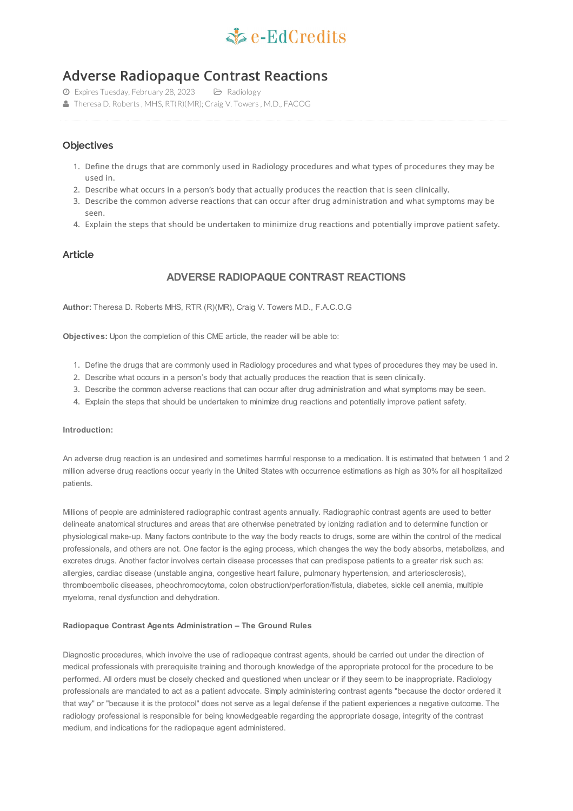

# Adverse Radiopaque Contrast Reactions

- Expires Tuesday, February 28, 2023 Radiology
- Theresa D. Roberts, MHS, RT(R)(MR); Craig V. Towers, M.D., FACOG

# **Objectives**

- 1. Define the drugs that are commonly used in Radiology procedures and what types of procedures they may be used in.
- 2. Describe what occurs in a person's body that actually produces the reaction that is seen clinically.
- 3. Describe the common adverse reactions that can occur after drug administration and what symptoms may be seen.
- 4. Explain the steps that should be undertaken to minimize drug reactions and potentially improve patient safety.

# **Article**

# **ADVERSE RADIOPAQUE CONTRAST REACTIONS**

**Author:** Theresa D. Roberts MHS, RTR (R)(MR), Craig V. Towers M.D., F.A.C.O.G

**Objectives:** Upon the completion of this CME article, the reader will be able to:

- 1. Define the drugs that are commonly used in Radiology procedures and what types of procedures they may be used in.
- 2. Describe what occurs in a person's body that actually produces the reaction that is seen clinically.
- 3. Describe the common adverse reactions that can occur after drug administration and what symptoms may be seen.
- 4. Explain the steps that should be undertaken to minimize drug reactions and potentially improve patient safety.

## **Introduction:**

An adverse drug reaction is an undesired and sometimes harmful response to a medication. It is estimated that between 1 and 2 million adverse drug reactions occur yearly in the United States with occurrence estimations as high as 30% for all hospitalized patients.

Millions of people are administered radiographic contrast agents annually. Radiographic contrast agents are used to better delineate anatomical structures and areas that are otherwise penetrated by ionizing radiation and to determine function or physiological make-up. Many factors contribute to the way the body reacts to drugs, some are within the control of the medical professionals, and others are not. One factor is the aging process, which changes the way the body absorbs, metabolizes, and excretes drugs. Another factor involves certain disease processes that can predispose patients to a greater risk such as: allergies, cardiac disease (unstable angina, congestive heart failure, pulmonary hypertension, and arteriosclerosis), thromboembolic diseases, pheochromocytoma, colon obstruction/perforation/fistula, diabetes, sickle cell anemia, multiple myeloma, renal dysfunction and dehydration.

#### **Radiopaque Contrast Agents Administration – The Ground Rules**

Diagnostic procedures, which involve the use of radiopaque contrast agents, should be carried out under the direction of medical professionals with prerequisite training and thorough knowledge of the appropriate protocol for the procedure to be performed. All orders must be closely checked and questioned when unclear or if they seem to be inappropriate. Radiology professionals are mandated to act as a patient advocate. Simply administering contrast agents "because the doctor ordered it that way" or "because it is the protocol" does not serve as a legal defense if the patient experiences a negative outcome. The radiology professional is responsible for being knowledgeable regarding the appropriate dosage, integrity of the contrast medium, and indications for the radiopaque agent administered.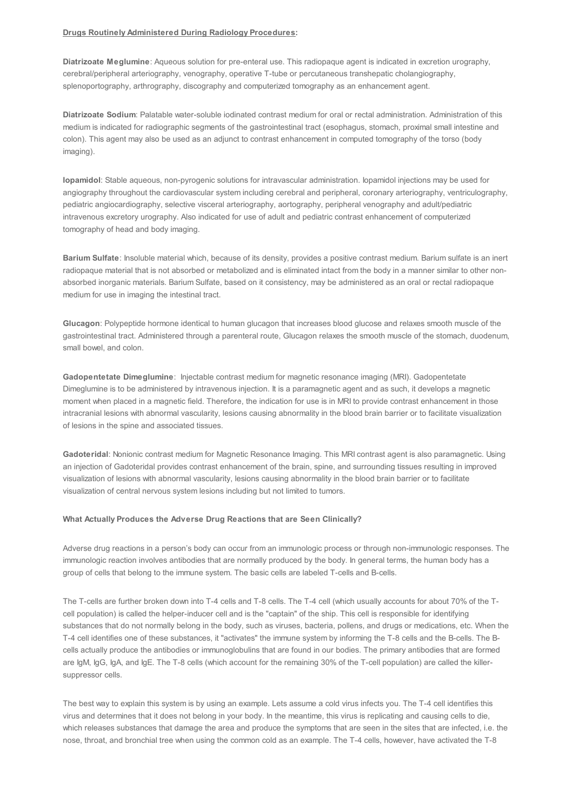#### **Drugs Routinely Administered During Radiology Procedures:**

**Diatrizoate Meglumine**: Aqueous solution for pre-enteral use. This radiopaque agent is indicated in excretion urography, cerebral/peripheral arteriography, venography, operative T-tube or percutaneous transhepatic cholangiography, splenoportography, arthrography, discography and computerized tomography as an enhancement agent.

**Diatrizoate Sodium**: Palatable water-soluble iodinated contrast medium for oral or rectal administration. Administration of this medium is indicated for radiographic segments of the gastrointestinal tract (esophagus, stomach, proximal small intestine and colon). This agent may also be used as an adjunct to contrast enhancement in computed tomography of the torso (body imaging).

**Iopamidol**: Stable aqueous, non-pyrogenic solutions for intravascular administration. Iopamidol injections may be used for angiography throughout the cardiovascular system including cerebral and peripheral, coronary arteriography, ventriculography, pediatric angiocardiography, selective visceral arteriography, aortography, peripheral venography and adult/pediatric intravenous excretory urography. Also indicated for use of adult and pediatric contrast enhancement of computerized tomography of head and body imaging.

**Barium Sulfate**: Insoluble material which, because of its density, provides a positive contrast medium. Barium sulfate is an inert radiopaque material that is not absorbed or metabolized and is eliminated intact from the body in a manner similar to other nonabsorbed inorganic materials. Barium Sulfate, based on it consistency, may be administered as an oral or rectal radiopaque medium for use in imaging the intestinal tract.

**Glucagon**: Polypeptide hormone identical to human glucagon that increases blood glucose and relaxes smooth muscle of the gastrointestinal tract. Administered through a parenteral route, Glucagon relaxes the smooth muscle of the stomach, duodenum, small bowel, and colon.

**Gadopentetate Dimeglumine**: Injectable contrast medium for magnetic resonance imaging (MRI). Gadopentetate Dimeglumine is to be administered by intravenous injection. It is a paramagnetic agent and as such, it develops a magnetic moment when placed in a magnetic field. Therefore, the indication for use is in MRI to provide contrast enhancement in those intracranial lesions with abnormal vascularity, lesions causing abnormality in the blood brain barrier or to facilitate visualization of lesions in the spine and associated tissues.

**Gadoteridal**: Nonionic contrast medium for Magnetic Resonance Imaging. This MRI contrast agent is also paramagnetic. Using an injection of Gadoteridal provides contrast enhancement of the brain, spine, and surrounding tissues resulting in improved visualization of lesions with abnormal vascularity, lesions causing abnormality in the blood brain barrier or to facilitate visualization of central nervous system lesions including but not limited to tumors.

#### **What Actually Produces the Adverse Drug Reactions that are Seen Clinically?**

Adverse drug reactions in a person's body can occur from an immunologic process or through non-immunologic responses. The immunologic reaction involves antibodies that are normally produced by the body. In general terms, the human body has a group of cells that belong to the immune system. The basic cells are labeled T-cells and B-cells.

The T-cells are further broken down into T-4 cells and T-8 cells. The T-4 cell (which usually accounts for about 70% of the Tcell population) is called the helper-inducer cell and is the "captain" of the ship. This cell is responsible for identifying substances that do not normally belong in the body, such as viruses, bacteria, pollens, and drugs or medications, etc. When the T-4 cell identifies one of these substances, it "activates" the immune system by informing the T-8 cells and the B-cells. The Bcells actually produce the antibodies or immunoglobulins that are found in our bodies. The primary antibodies that are formed are IgM, IgG, IgA, and IgE. The T-8 cells (which account for the remaining 30% of the T-cell population) are called the killersuppressor cells.

The best way to explain this system is by using an example. Lets assume a cold virus infects you. The T-4 cell identifies this virus and determines that it does not belong in your body. In the meantime, this virus is replicating and causing cells to die, which releases substances that damage the area and produce the symptoms that are seen in the sites that are infected, i.e. the nose, throat, and bronchial tree when using the common cold as an example. The T-4 cells, however, have activated the T-8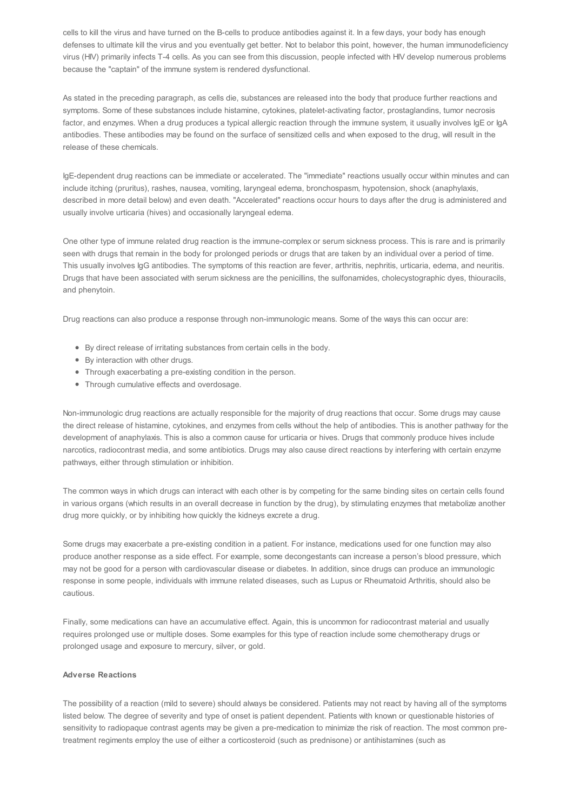cells to kill the virus and have turned on the B-cells to produce antibodies against it. In a few days, your body has enough defenses to ultimate kill the virus and you eventually get better. Not to belabor this point, however, the human immunodeficiency virus (HIV) primarily infects T-4 cells. As you can see from this discussion, people infected with HIV develop numerous problems because the "captain" of the immune system is rendered dysfunctional.

As stated in the preceding paragraph, as cells die, substances are released into the body that produce further reactions and symptoms. Some of these substances include histamine, cytokines, platelet-activating factor, prostaglandins, tumor necrosis factor, and enzymes. When a drug produces a typical allergic reaction through the immune system, it usually involves IgE or IgA antibodies. These antibodies may be found on the surface of sensitized cells and when exposed to the drug, will result in the release of these chemicals.

IgE-dependent drug reactions can be immediate or accelerated. The "immediate" reactions usually occur within minutes and can include itching (pruritus), rashes, nausea, vomiting, laryngeal edema, bronchospasm, hypotension, shock (anaphylaxis, described in more detail below) and even death. "Accelerated" reactions occur hours to days after the drug is administered and usually involve urticaria (hives) and occasionally laryngeal edema.

One other type of immune related drug reaction is the immune-complex or serum sickness process. This is rare and is primarily seen with drugs that remain in the body for prolonged periods or drugs that are taken by an individual over a period of time. This usually involves IgG antibodies. The symptoms of this reaction are fever, arthritis, nephritis, urticaria, edema, and neuritis. Drugs that have been associated with serum sickness are the penicillins, the sulfonamides, cholecystographic dyes, thiouracils, and phenytoin.

Drug reactions can also produce a response through non-immunologic means. Some of the ways this can occur are:

- By direct release of irritating substances from certain cells in the body.
- By interaction with other drugs.
- Through exacerbating a pre-existing condition in the person.
- Through cumulative effects and overdosage.

Non-immunologic drug reactions are actually responsible for the majority of drug reactions that occur. Some drugs may cause the direct release of histamine, cytokines, and enzymes from cells without the help of antibodies. This is another pathway for the development of anaphylaxis. This is also a common cause for urticaria or hives. Drugs that commonly produce hives include narcotics, radiocontrast media, and some antibiotics. Drugs may also cause direct reactions by interfering with certain enzyme pathways, either through stimulation or inhibition.

The common ways in which drugs can interact with each other is by competing for the same binding sites on certain cells found in various organs (which results in an overall decrease in function by the drug), by stimulating enzymes that metabolize another drug more quickly, or by inhibiting how quickly the kidneys excrete a drug.

Some drugs may exacerbate a pre-existing condition in a patient. For instance, medications used for one function may also produce another response as a side effect. For example, some decongestants can increase a person's blood pressure, which may not be good for a person with cardiovascular disease or diabetes. In addition, since drugs can produce an immunologic response in some people, individuals with immune related diseases, such as Lupus or Rheumatoid Arthritis, should also be cautious.

Finally, some medications can have an accumulative effect. Again, this is uncommon for radiocontrast material and usually requires prolonged use or multiple doses. Some examples for this type of reaction include some chemotherapy drugs or prolonged usage and exposure to mercury, silver, or gold.

## **Adverse Reactions**

The possibility of a reaction (mild to severe) should always be considered. Patients may not react by having all of the symptoms listed below. The degree of severity and type of onset is patient dependent. Patients with known or questionable histories of sensitivity to radiopaque contrast agents may be given a pre-medication to minimize the risk of reaction. The most common pretreatment regiments employ the use of either a corticosteroid (such as prednisone) or antihistamines (such as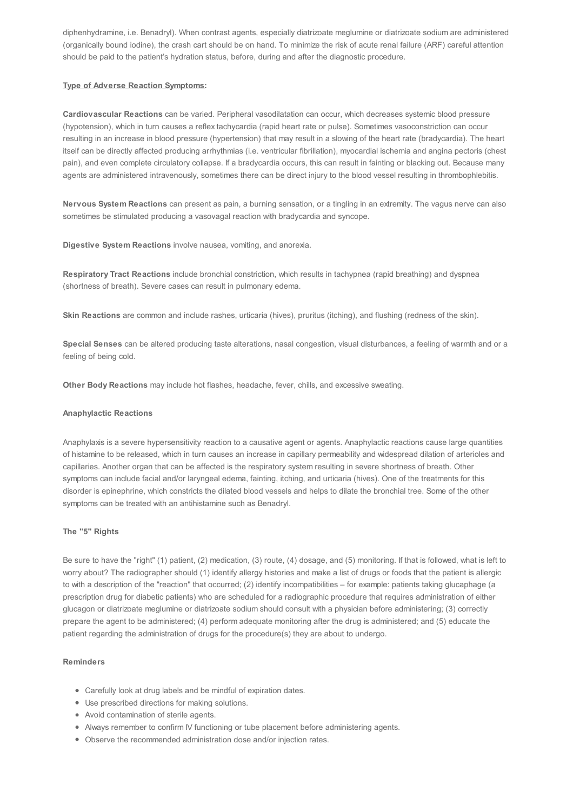diphenhydramine, i.e. Benadryl). When contrast agents, especially diatrizoate meglumine or diatrizoate sodium are administered (organically bound iodine), the crash cart should be on hand. To minimize the risk of acute renal failure (ARF) careful attention should be paid to the patient's hydration status, before, during and after the diagnostic procedure.

# **Type of Adverse Reaction Symptoms:**

**Cardiovascular Reactions** can be varied. Peripheral vasodilatation can occur, which decreases systemic blood pressure (hypotension), which in turn causes a reflex tachycardia (rapid heart rate or pulse). Sometimes vasoconstriction can occur resulting in an increase in blood pressure (hypertension) that may result in a slowing of the heart rate (bradycardia). The heart itself can be directly affected producing arrhythmias (i.e. ventricular fibrillation), myocardial ischemia and angina pectoris (chest pain), and even complete circulatory collapse. If a bradycardia occurs, this can result in fainting or blacking out. Because many agents are administered intravenously, sometimes there can be direct injury to the blood vessel resulting in thrombophlebitis.

**Nervous System Reactions** can present as pain, a burning sensation, or a tingling in an extremity. The vagus nerve can also sometimes be stimulated producing a vasovagal reaction with bradycardia and syncope.

**Digestive System Reactions** involve nausea, vomiting, and anorexia.

**Respiratory Tract Reactions** include bronchial constriction, which results in tachypnea (rapid breathing) and dyspnea (shortness of breath). Severe cases can result in pulmonary edema.

**Skin Reactions** are common and include rashes, urticaria (hives), pruritus (itching), and flushing (redness of the skin).

**Special Senses** can be altered producing taste alterations, nasal congestion, visual disturbances, a feeling of warmth and or a feeling of being cold.

**Other Body Reactions** may include hot flashes, headache, fever, chills, and excessive sweating.

# **Anaphylactic Reactions**

Anaphylaxis is a severe hypersensitivity reaction to a causative agent or agents. Anaphylactic reactions cause large quantities of histamine to be released, which in turn causes an increase in capillary permeability and widespread dilation of arterioles and capillaries. Another organ that can be affected is the respiratory system resulting in severe shortness of breath. Other symptoms can include facial and/or laryngeal edema, fainting, itching, and urticaria (hives). One of the treatments for this disorder is epinephrine, which constricts the dilated blood vessels and helps to dilate the bronchial tree. Some of the other symptoms can be treated with an antihistamine such as Benadryl.

# **The "5" Rights**

Be sure to have the "right" (1) patient, (2) medication, (3) route, (4) dosage, and (5) monitoring. If that is followed, what is left to worry about? The radiographer should (1) identify allergy histories and make a list of drugs or foods that the patient is allergic to with a description of the "reaction" that occurred; (2) identify incompatibilities – for example: patients taking glucaphage (a prescription drug for diabetic patients) who are scheduled for a radiographic procedure that requires administration of either glucagon or diatrizoate meglumine or diatrizoate sodium should consult with a physician before administering; (3) correctly prepare the agent to be administered; (4) perform adequate monitoring after the drug is administered; and (5) educate the patient regarding the administration of drugs for the procedure(s) they are about to undergo.

# **Reminders**

- Carefully look at drug labels and be mindful of expiration dates.
- Use prescribed directions for making solutions.
- Avoid contamination of sterile agents.
- Always remember to confirm IV functioning or tube placement before administering agents.
- Observe the recommended administration dose and/or injection rates.